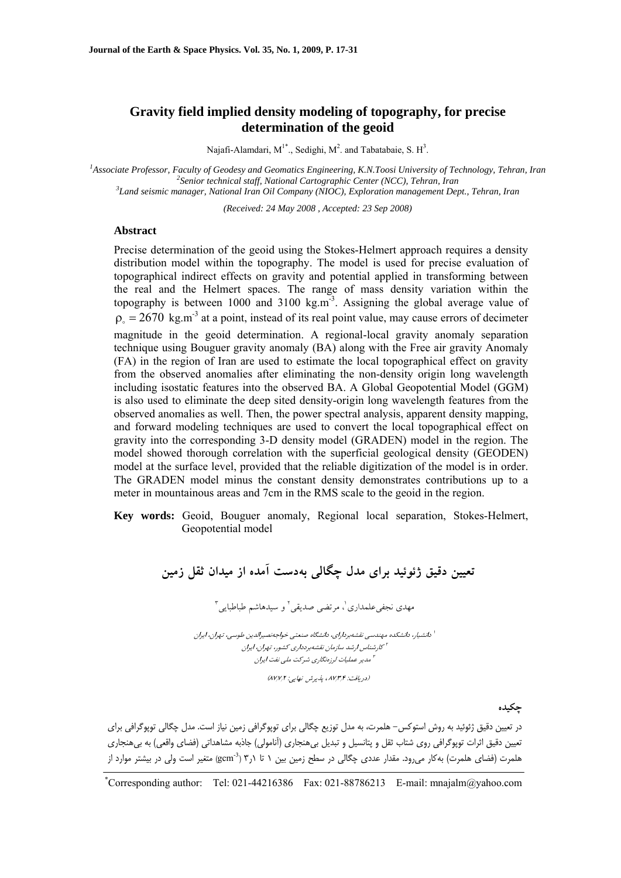# **Gravity field implied density modeling of topography, for precise determination of the geoid**

Najafi-Alamdari,  $M^{1*}$ ., Sedighi,  $M^2$ . and Tabatabaie, S.  $H^3$ .

<sup>1</sup> Associate Professor, Faculty of Geodesy and Geomatics Engineering, K.N.Toosi University of Technology, Tehran, Iran <sup>2</sup> Senion technical staff National Capteographic Center (NGC). Tehran, Iran <sup>2</sup> Senior technical staff, National Cartographic Center (NCC), Tehran, Iran *Land seismic manager, National Iran Oil Company (NIOC), Exploration management Dept., Tehran, Iran* 

*(Received: 24 May 2008 , Accepted: 23 Sep 2008)* 

#### **Abstract**

Precise determination of the geoid using the Stokes-Helmert approach requires a density distribution model within the topography. The model is used for precise evaluation of topographical indirect effects on gravity and potential applied in transforming between the real and the Helmert spaces. The range of mass density variation within the topography is between  $1000$  and  $3100 \text{ kg.m}^3$ . Assigning the global average value of  $\rho = 2670 \text{ kg.m}^3$  at a point, instead of its real point value, may cause errors of decimeter magnitude in the geoid determination. A regional-local gravity anomaly separation technique using Bouguer gravity anomaly (BA) along with the Free air gravity Anomaly (FA) in the region of Iran are used to estimate the local topographical effect on gravity from the observed anomalies after eliminating the non-density origin long wavelength including isostatic features into the observed BA. A Global Geopotential Model (GGM) is also used to eliminate the deep sited density-origin long wavelength features from the observed anomalies as well. Then, the power spectral analysis, apparent density mapping, and forward modeling techniques are used to convert the local topographical effect on gravity into the corresponding 3-D density model (GRADEN) model in the region. The model showed thorough correlation with the superficial geological density (GEODEN) model at the surface level, provided that the reliable digitization of the model is in order. The GRADEN model minus the constant density demonstrates contributions up to a meter in mountainous areas and 7cm in the RMS scale to the geoid in the region.

**Key words:** Geoid, Bouguer anomaly, Regional local separation, Stokes-Helmert, Geopotential model

**تعيين دقيق ژئوئيد براي مدل چگالي بهدست آمده از ميدان ثقل زمين** 3 و سيدهاشم طباطبايي <sup>2</sup> ، مرتضي صديقي <sup>1</sup> مهدي نجفيعلمداري دانشيار، دانشكده مهندسي نقشهبرداراي، دانشگاه صنعتي خواجهنصيرالدين طوسي، تهران، ايران <sup>1</sup> كارشناس ارشد سازمان نقشهبردداري كشور، تهران، ايران <sup>2</sup> مدير عمليات لرزهنگاري شركت ملي نفت ايران <sup>3</sup> (87/ 7/ <sup>87</sup>/ ، پذيرش نهايي: 2 3/ (دريافت: <sup>4</sup>

**چكيده**

در تعيين دقيق ژئوئيد به روش استوكس- هلمرت، به مدل توزيع چگالي براي توپوگرافي زمين نياز است. مدل چگالي توپوگرافي براي تعيين دقيق اثرات توپوگرافي روي شتاب ثقل و پتانسيل و تبديل بيهنجاري (آنامولي) جاذبه مشاهداتي (فضاي واقعي) به بيهنجاري هلمرت (فضاي هلمرت) بهكار ميرود. مقدار عددي چگالي در سطح زمين بين ١ تا ٦ر٣ (3pcm<sup>3</sup>) متغير است ولي در بيشتر موارد از

<sup>\*</sup> Corresponding author: Tel: 021-44216386 Fax: 021-88786213 E-mail: mnajalm@yahoo.com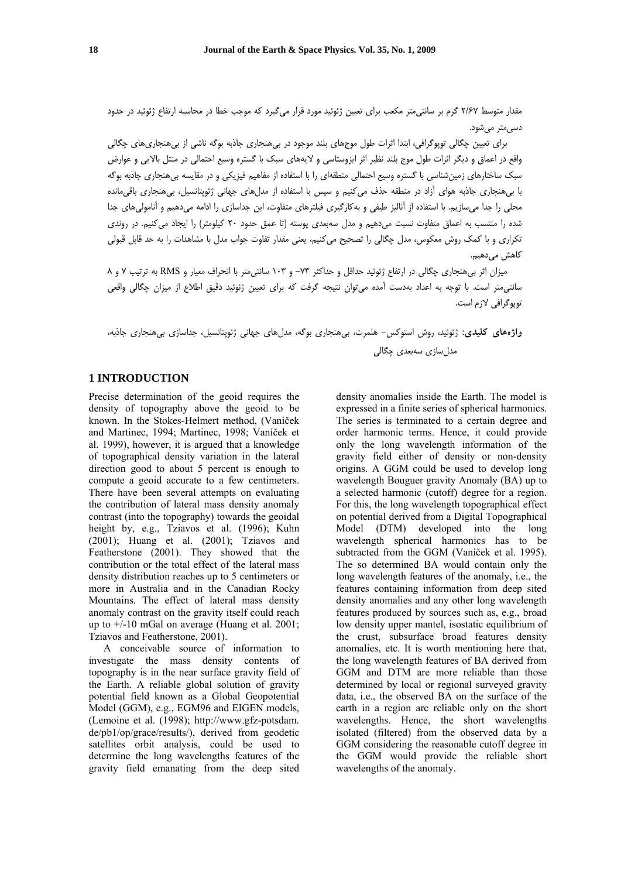مقدار متوسط 2/67 گرم بر سانتيمتر مكعب براي تعيين ژئوئيد مورد قرار ميگيرد كه موجب خطا در محاسبه ارتفاع ژئوئيد در حدود دسيمتر ميشود.

براي تعيين چگالي توپوگرافي، ابتدا اثرات طول موجهاي بلند موجود در بيهنجاري جاذبه بوگه ناشي از بيهنجاريهاي چگالي واقع در اعماق و ديگر اثرات طول موج بلند نظير اثر ايزوستاسي و لايههاي سبك با گستره وسيع احتمالي در منتل بالايي و عوارض سبك ساختارهاي زمينشناسي با گستره وسيع احتمالي منطقهاي را با استفاده از مفاهيم فيزيكي و در مقايسه بيهنجاري جاذبه بوگه با بيهنجاري جاذبه هواي آزاد در منطقه حذف ميكنيم و سپس با استفاده از مدلهاي جهاني ژئوپتانسيل، بيهنجاري باقيمانده محلي را جدا ميسازيم. با استفاده از آناليز طيفي و بهكارگيري فيلترهاي متفاوت، اين جداسازي را ادامه ميدهيم و آناموليهاي جدا شده را منتسب به اعماق متفاوت نسبت ميدهيم و مدل سهبعدي پوسته (تا عمق حدود 20 كيلومتر) را ايجاد ميكنيم. در روندي تكراري و با كمك روش معكوس، مدل چگالي را تصحيح ميكنيم، يعني مقدار تفاوت جواب مدل با مشاهدات را به حد قابل قبولي كاهش مى دهيم.

ميزان اثر بيهنجاري چگالي در ارتفاع ژئوئيد حداقل و حداكثر -73 و 103 سانتيمتر با انحراف معيار و RMS به ترتيب 7 و 8 سانتيمتر است. با توجه به اعداد بهدست آمده ميتوان نتيجه گرفت كه براي تعيين ژئوئيد دقيق اطلاع از ميزان چگالي واقعي توپوگرافي لازم است.

**واژههاي كليدي:** ژئوئيد، روش استوكس- هلمرت، بيهنجاري بوگه، مدلهاي جهاني ژئوپتانسيل، جداسازي بيهنجاري جاذبه، مدلسازي سهبعدي چگالي

# **1 INTRODUCTION**

Precise determination of the geoid requires the density of topography above the geoid to be known. In the Stokes-Helmert method, (Vaníček and Martinec, 1994; Martinec, 1998; Vaníček et al. 1999), however, it is argued that a knowledge of topographical density variation in the lateral direction good to about 5 percent is enough to compute a geoid accurate to a few centimeters. There have been several attempts on evaluating the contribution of lateral mass density anomaly contrast (into the topography) towards the geoidal height by, e.g., Tziavos et al. (1996); Kuhn (2001); Huang et al. (2001); Tziavos and Featherstone (2001). They showed that the contribution or the total effect of the lateral mass density distribution reaches up to 5 centimeters or more in Australia and in the Canadian Rocky Mountains. The effect of lateral mass density anomaly contrast on the gravity itself could reach up to +/-10 mGal on average (Huang et al. 2001; Tziavos and Featherstone, 2001).

A conceivable source of information to investigate the mass density contents of topography is in the near surface gravity field of the Earth. A reliable global solution of gravity potential field known as a Global Geopotential Model (GGM), e.g., EGM96 and EIGEN models, (Lemoine et al. (1998); http://www.gfz-potsdam. de/pb1/op/grace/results/), derived from geodetic satellites orbit analysis, could be used to determine the long wavelengths features of the gravity field emanating from the deep sited

density anomalies inside the Earth. The model is expressed in a finite series of spherical harmonics. The series is terminated to a certain degree and order harmonic terms. Hence, it could provide only the long wavelength information of the gravity field either of density or non-density origins. A GGM could be used to develop long wavelength Bouguer gravity Anomaly (BA) up to a selected harmonic (cutoff) degree for a region. For this, the long wavelength topographical effect on potential derived from a Digital Topographical Model (DTM) developed into the long wavelength spherical harmonics has to be subtracted from the GGM (Vaníček et al. 1995). The so determined BA would contain only the long wavelength features of the anomaly, i.e., the features containing information from deep sited density anomalies and any other long wavelength features produced by sources such as, e.g., broad low density upper mantel, isostatic equilibrium of the crust, subsurface broad features density anomalies, etc. It is worth mentioning here that, the long wavelength features of BA derived from GGM and DTM are more reliable than those determined by local or regional surveyed gravity data, i.e., the observed BA on the surface of the earth in a region are reliable only on the short wavelengths. Hence, the short wavelengths isolated (filtered) from the observed data by a GGM considering the reasonable cutoff degree in the GGM would provide the reliable short wavelengths of the anomaly.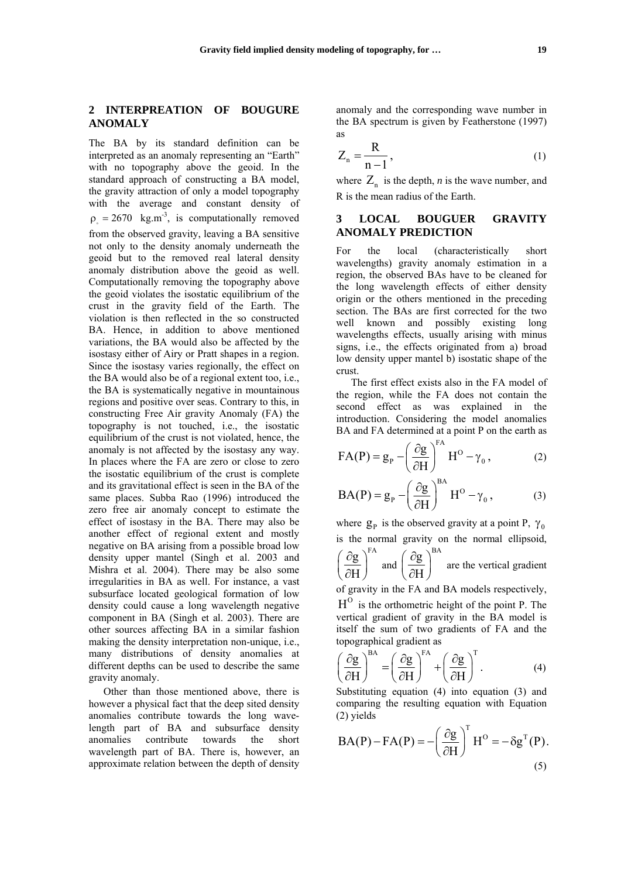# **2 INTERPREATION OF BOUGURE ANOMALY**

The BA by its standard definition can be interpreted as an anomaly representing an "Earth" with no topography above the geoid. In the standard approach of constructing a BA model, the gravity attraction of only a model topography with the average and constant density of  $\rho = 2670 \text{ kg.m}^{-3}$ , is computationally removed from the observed gravity, leaving a BA sensitive not only to the density anomaly underneath the geoid but to the removed real lateral density anomaly distribution above the geoid as well. Computationally removing the topography above the geoid violates the isostatic equilibrium of the crust in the gravity field of the Earth. The violation is then reflected in the so constructed BA. Hence, in addition to above mentioned variations, the BA would also be affected by the isostasy either of Airy or Pratt shapes in a region. Since the isostasy varies regionally, the effect on the BA would also be of a regional extent too, i.e., the BA is systematically negative in mountainous regions and positive over seas. Contrary to this, in constructing Free Air gravity Anomaly (FA) the topography is not touched, i.e., the isostatic equilibrium of the crust is not violated, hence, the anomaly is not affected by the isostasy any way. In places where the FA are zero or close to zero the isostatic equilibrium of the crust is complete and its gravitational effect is seen in the BA of the same places. Subba Rao (1996) introduced the zero free air anomaly concept to estimate the effect of isostasy in the BA. There may also be another effect of regional extent and mostly negative on BA arising from a possible broad low density upper mantel (Singh et al. 2003 and Mishra et al. 2004). There may be also some irregularities in BA as well. For instance, a vast subsurface located geological formation of low density could cause a long wavelength negative component in BA (Singh et al. 2003). There are other sources affecting BA in a similar fashion making the density interpretation non-unique, i.e., many distributions of density anomalies at different depths can be used to describe the same gravity anomaly.

Other than those mentioned above, there is however a physical fact that the deep sited density anomalies contribute towards the long wavelength part of BA and subsurface density anomalies contribute towards the short wavelength part of BA. There is, however, an approximate relation between the depth of density anomaly and the corresponding wave number in the BA spectrum is given by Featherstone (1997) as

$$
Z_n = \frac{R}{n-1},\tag{1}
$$

where  $Z_n$  is the depth, *n* is the wave number, and R is the mean radius of the Earth.

#### **3 LOCAL BOUGUER GRAVITY ANOMALY PREDICTION**

For the local (characteristically short wavelengths) gravity anomaly estimation in a region, the observed BAs have to be cleaned for the long wavelength effects of either density origin or the others mentioned in the preceding section. The BAs are first corrected for the two well known and possibly existing long wavelengths effects, usually arising with minus signs, i.e., the effects originated from a) broad low density upper mantel b) isostatic shape of the crust.

The first effect exists also in the FA model of the region, while the FA does not contain the second effect as was explained in the introduction. Considering the model anomalies BA and FA determined at a point P on the earth as

$$
FA(P) = g_P - \left(\frac{\partial g}{\partial H}\right)^{FA} H^O - \gamma_0, \qquad (2)
$$

$$
BA(P) = g_P - \left(\frac{\partial g}{\partial H}\right)^{BA} H^O - \gamma_0, \qquad (3)
$$

where  $g_p$  is the observed gravity at a point P,  $\gamma_0$ is the normal gravity on the normal ellipsoid,

 $\mathrm{g}\, \Upsilon^\mathrm{FA}$ H  $\left( \partial g \right)$  $\left(\frac{\partial B}{\partial H}\right)$  and  $\mathrm{g}\left.\right>^{\mathrm{BA}}$ H  $\left( \partial g \right)$  $\left(\frac{\sigma}{\partial H}\right)$  are the vertical gradient

of gravity in the FA and BA models respectively,

 $H<sup>o</sup>$  is the orthometric height of the point P. The vertical gradient of gravity in the BA model is itself the sum of two gradients of FA and the topographical gradient as

$$
\left(\frac{\partial g}{\partial H}\right)^{BA} = \left(\frac{\partial g}{\partial H}\right)^{FA} + \left(\frac{\partial g}{\partial H}\right)^{T}.
$$
 (4)

Substituting equation (4) into equation (3) and comparing the resulting equation with Equation (2) yields

$$
BA(P) - FA(P) = -\left(\frac{\partial g}{\partial H}\right)^{T} H^{O} = -\delta g^{T}(P).
$$
\n(5)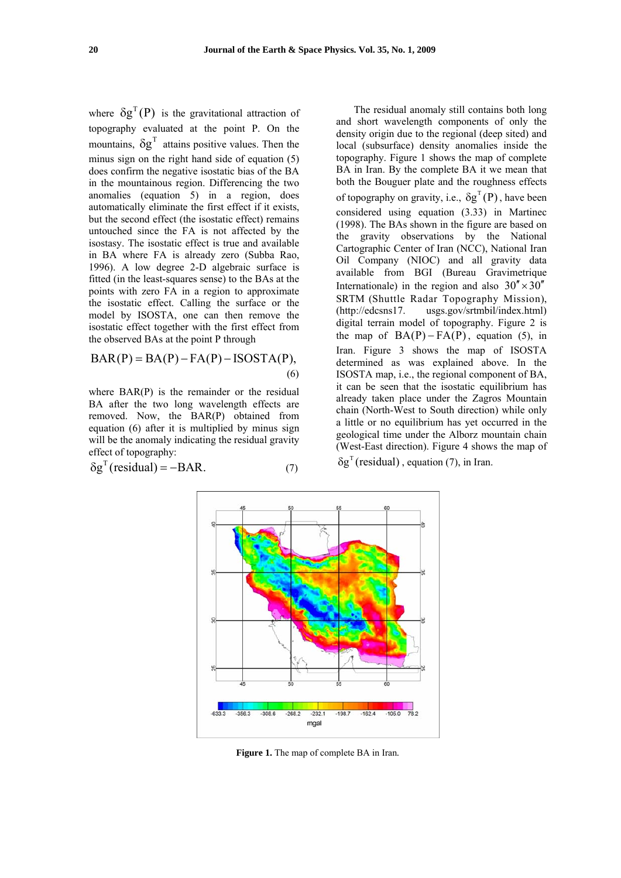where  $\delta g^{T}(P)$  is the gravitational attraction of topography evaluated at the point P. On the mountains,  $\delta g^T$  attains positive values. Then the minus sign on the right hand side of equation (5) does confirm the negative isostatic bias of the BA in the mountainous region. Differencing the two anomalies (equation 5) in a region, does automatically eliminate the first effect if it exists, but the second effect (the isostatic effect) remains untouched since the FA is not affected by the isostasy. The isostatic effect is true and available in BA where FA is already zero (Subba Rao, 1996). A low degree 2-D algebraic surface is fitted (in the least-squares sense) to the BAs at the points with zero FA in a region to approximate the isostatic effect. Calling the surface or the model by ISOSTA, one can then remove the isostatic effect together with the first effect from the observed BAs at the point P through

$$
BAR(P) = BA(P) - FA(P) - ISOSTA(P),
$$
\n(6)

where BAR(P) is the remainder or the residual BA after the two long wavelength effects are removed. Now, the BAR(P) obtained from equation (6) after it is multiplied by minus sign will be the anomaly indicating the residual gravity effect of topography:

$$
\delta g^{T}(\text{residual}) = -BAR. \tag{7}
$$

The residual anomaly still contains both long and short wavelength components of only the density origin due to the regional (deep sited) and local (subsurface) density anomalies inside the topography. Figure 1 shows the map of complete BA in Iran. By the complete BA it we mean that both the Bouguer plate and the roughness effects of topography on gravity, i.e.,  $\delta g^{T}(P)$ , have been considered using equation (3.33) in Martinec (1998). The BAs shown in the figure are based on the gravity observations by the National Cartographic Center of Iran (NCC), National Iran Oil Company (NIOC) and all gravity data available from BGI (Bureau Gravimetrique Internationale) in the region and also  $30'' \times 30''$ SRTM (Shuttle Radar Topography Mission), (http://edcsns17. usgs.gov/srtmbil/index.html) digital terrain model of topography. Figure 2 is the map of  $BA(P) - FA(P)$ , equation (5), in Iran. Figure 3 shows the map of ISOSTA determined as was explained above. In the ISOSTA map, i.e., the regional component of BA, it can be seen that the isostatic equilibrium has already taken place under the Zagros Mountain chain (North-West to South direction) while only a little or no equilibrium has yet occurred in the geological time under the Alborz mountain chain (West-East direction). Figure 4 shows the map of  $\delta g^T$  (residual), equation (7), in Iran.



**Figure 1.** The map of complete BA in Iran*.*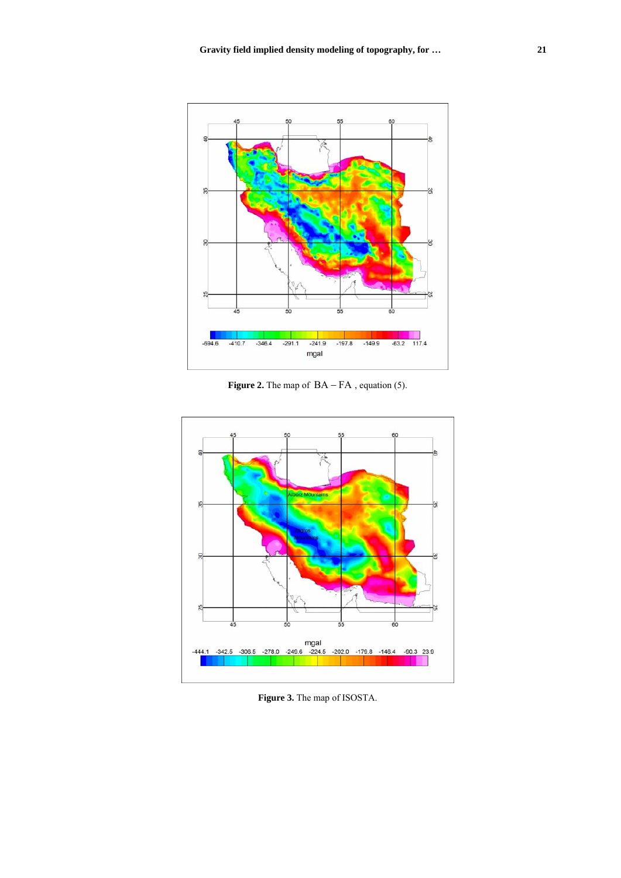

**Figure 2.** The map of  $BA - FA$ , equation (5).



**Figure 3.** The map of ISOSTA.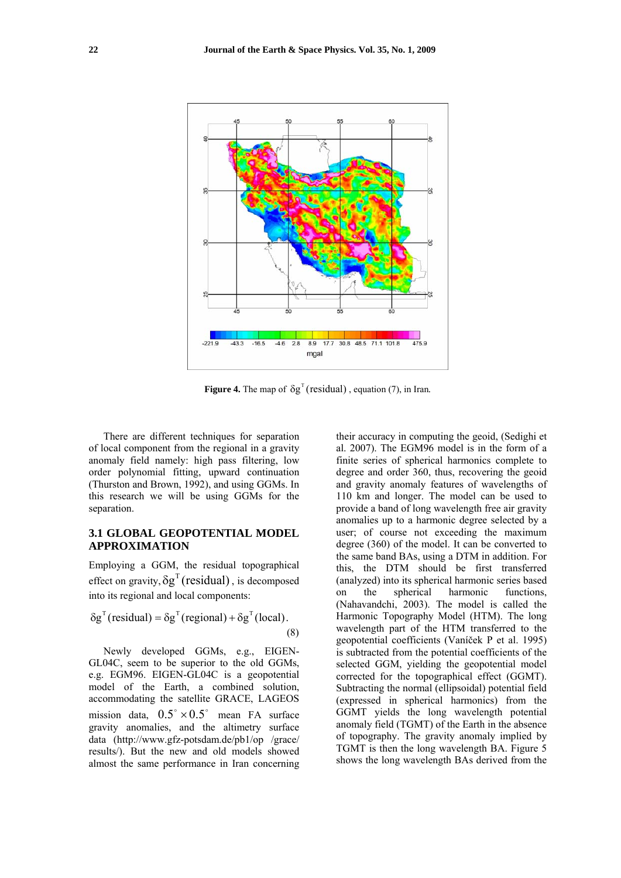

**Figure 4.** The map of  $\delta g^T$  (residual), equation (7), in Iran.

There are different techniques for separation of local component from the regional in a gravity anomaly field namely: high pass filtering, low order polynomial fitting, upward continuation (Thurston and Brown, 1992), and using GGMs. In this research we will be using GGMs for the separation.

## **3.1 GLOBAL GEOPOTENTIAL MODEL APPROXIMATION**

Employing a GGM, the residual topographical effect on gravity,  $\delta g^{T}$  (residual), is decomposed into its regional and local components:

$$
\delta g^{T}(\text{residual}) = \delta g^{T}(\text{regional}) + \delta g^{T}(\text{local}).
$$
\n(8)

Newly developed GGMs, e.g., EIGEN-GL04C, seem to be superior to the old GGMs, e.g. EGM96. EIGEN-GL04C is a geopotential model of the Earth, a combined solution, accommodating the satellite GRACE, LAGEOS mission data,  $0.5^{\circ} \times 0.5^{\circ}$  mean FA surface gravity anomalies, and the altimetry surface data (http://www.gfz-potsdam.de/pb1/op /grace/ results/). But the new and old models showed almost the same performance in Iran concerning their accuracy in computing the geoid, (Sedighi et al. 2007). The EGM96 model is in the form of a finite series of spherical harmonics complete to degree and order 360, thus, recovering the geoid and gravity anomaly features of wavelengths of 110 km and longer. The model can be used to provide a band of long wavelength free air gravity anomalies up to a harmonic degree selected by a user; of course not exceeding the maximum degree (360) of the model. It can be converted to the same band BAs, using a DTM in addition. For this, the DTM should be first transferred (analyzed) into its spherical harmonic series based on the spherical harmonic functions, (Nahavandchi, 2003). The model is called the Harmonic Topography Model (HTM). The long wavelength part of the HTM transferred to the geopotential coefficients (Vaníček P et al. 1995) is subtracted from the potential coefficients of the selected GGM, yielding the geopotential model corrected for the topographical effect (GGMT). Subtracting the normal (ellipsoidal) potential field (expressed in spherical harmonics) from the GGMT yields the long wavelength potential anomaly field (TGMT) of the Earth in the absence of topography. The gravity anomaly implied by TGMT is then the long wavelength BA. Figure 5 shows the long wavelength BAs derived from the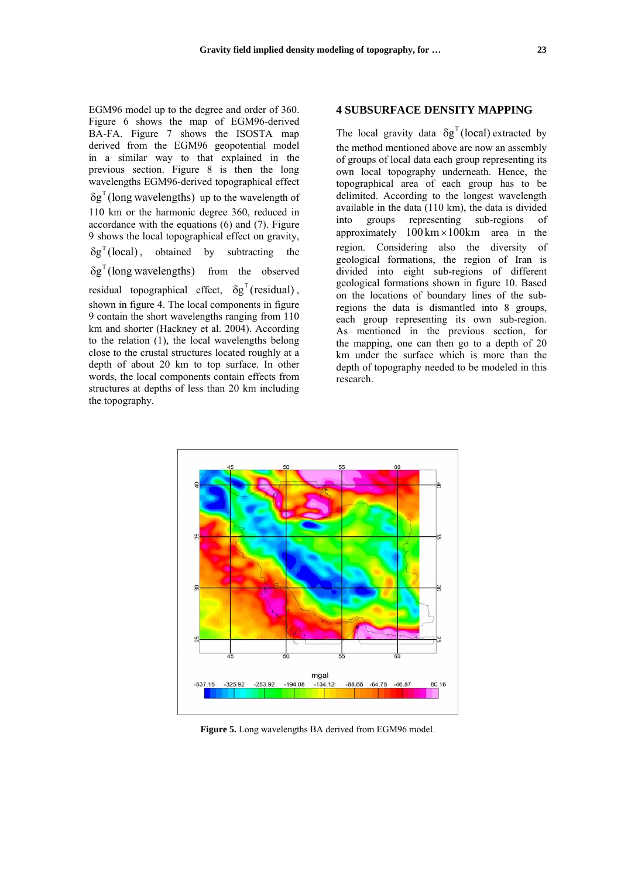EGM96 model up to the degree and order of 360. Figure 6 shows the map of EGM96-derived BA-FA. Figure 7 shows the ISOSTA map derived from the EGM96 geopotential model in a similar way to that explained in the previous section. Figure 8 is then the long wavelengths EGM96-derived topographical effect  $\delta g^T$  (long wavelengths) up to the wavelength of 110 km or the harmonic degree 360, reduced in accordance with the equations (6) and (7). Figure 9 shows the local topographical effect on gravity,<br>  $\delta g^T$ (local), obtained by subtracting the  $\delta g^{T}$ (long wavelengths) from the observed residual topographical effect,  $\delta g^{\text{T}}$  (residual), shown in figure 4. The local components in figure 9 contain the short wavelengths ranging from 110 km and shorter (Hackney et al. 2004). According to the relation (1), the local wavelengths belong close to the crustal structures located roughly at a depth of about 20 km to top surface. In other words, the local components contain effects from structures at depths of less than 20 km including the topography.

## **4 SUBSURFACE DENSITY MAPPING**

The local gravity data  $\delta g^{T}$  (local) extracted by the method mentioned above are now an assembly of groups of local data each group representing its own local topography underneath. Hence, the topographical area of each group has to be delimited. According to the longest wavelength available in the data (110 km), the data is divided into groups representing sub-regions of approximately  $100 \text{ km} \times 100 \text{ km}$  area in the region. Considering also the diversity of geological formations, the region of Iran is divided into eight sub-regions of different geological formations shown in figure 10. Based on the locations of boundary lines of the subregions the data is dismantled into 8 groups, each group representing its own sub-region. As mentioned in the previous section, for the mapping, one can then go to a depth of 20 km under the surface which is more than the depth of topography needed to be modeled in this research.



**Figure 5.** Long wavelengths BA derived from EGM96 model.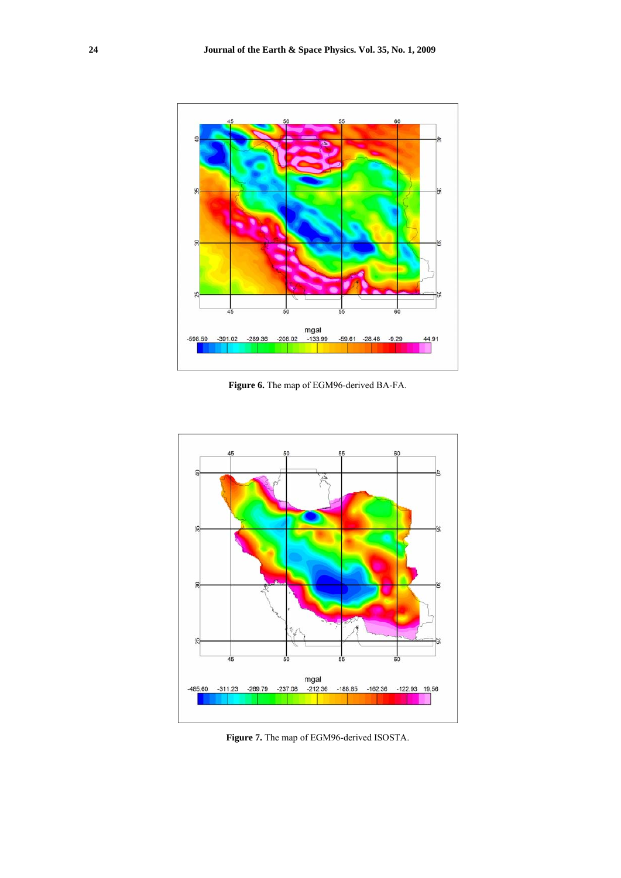

**Figure 6.** The map of EGM96-derived BA-FA.



**Figure 7.** The map of EGM96-derived ISOSTA.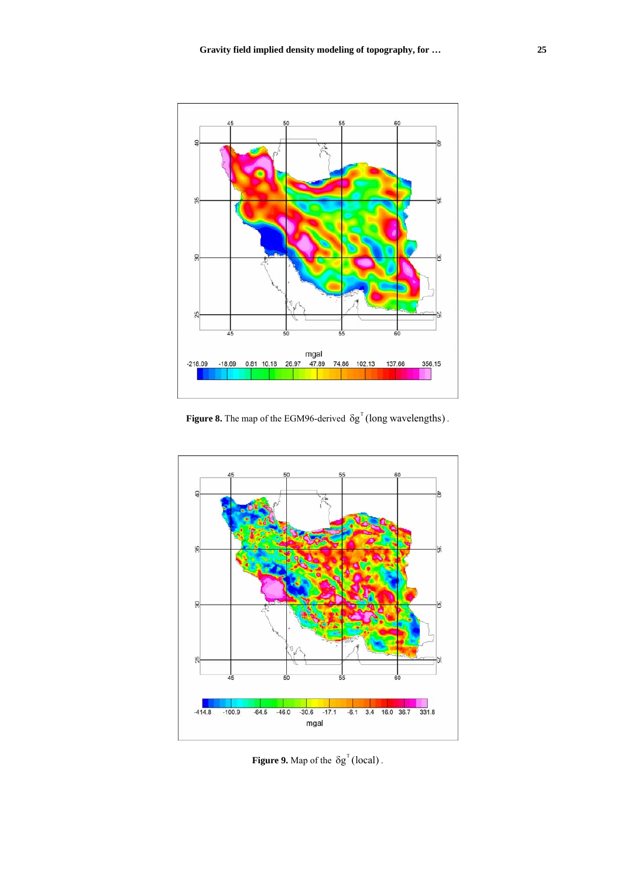

**Figure 8.** The map of the EGM96-derived  $\delta g^T$  (long wavelengths).



**Figure 9.** Map of the  $\delta g^T$  (local).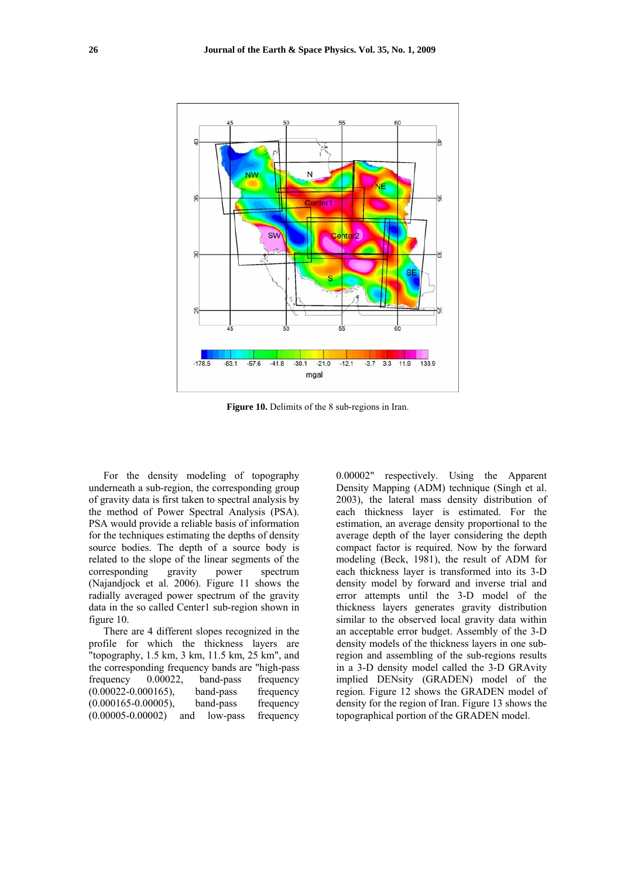

**Figure 10.** Delimits of the 8 sub-regions in Iran.

For the density modeling of topography underneath a sub-region, the corresponding group of gravity data is first taken to spectral analysis by the method of Power Spectral Analysis (PSA). PSA would provide a reliable basis of information for the techniques estimating the depths of density source bodies. The depth of a source body is related to the slope of the linear segments of the corresponding gravity power spectrum (Najandjock et al. 2006). Figure 11 shows the radially averaged power spectrum of the gravity data in the so called Center1 sub-region shown in figure 10.

There are 4 different slopes recognized in the profile for which the thickness layers are "topography, 1.5 km, 3 km, 11.5 km, 25 km", and the corresponding frequency bands are "high-pass frequency 0.00022, band-pass frequency<br>(0.00022-0.000165), band-pass frequency  $(0.00022 - 0.000165)$ , band-pass (0.000165-0.00005), band-pass frequency (0.00005-0.00002) and low-pass frequency 0.00002" respectively. Using the Apparent Density Mapping (ADM) technique (Singh et al. 2003), the lateral mass density distribution of each thickness layer is estimated. For the estimation, an average density proportional to the average depth of the layer considering the depth compact factor is required. Now by the forward modeling (Beck, 1981), the result of ADM for each thickness layer is transformed into its 3-D density model by forward and inverse trial and error attempts until the 3-D model of the thickness layers generates gravity distribution similar to the observed local gravity data within an acceptable error budget. Assembly of the 3-D density models of the thickness layers in one subregion and assembling of the sub-regions results in a 3-D density model called the 3-D GRAvity implied DENsity (GRADEN) model of the region. Figure 12 shows the GRADEN model of density for the region of Iran. Figure 13 shows the topographical portion of the GRADEN model.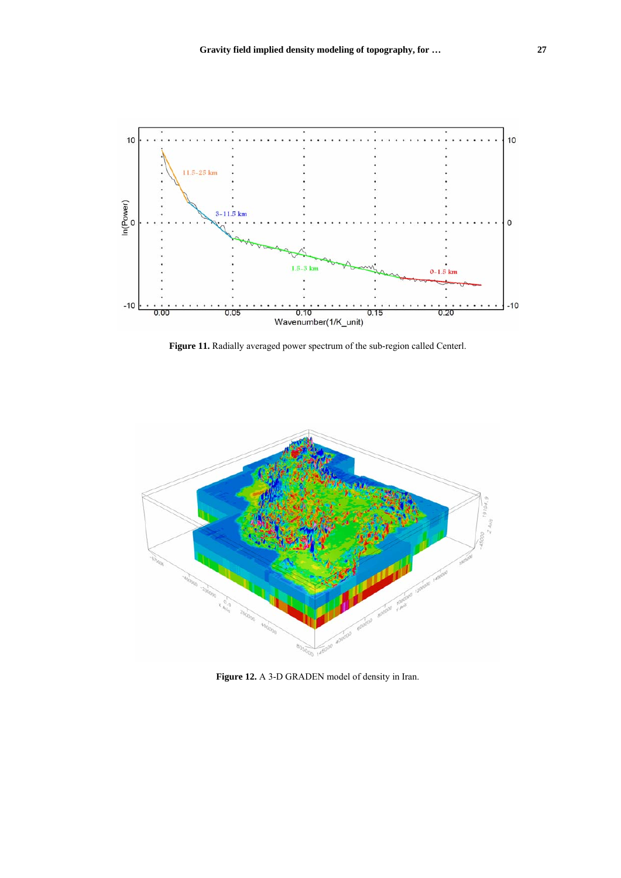

**Figure 11.** Radially averaged power spectrum of the sub-region called Centerl.



**Figure 12.** A 3-D GRADEN model of density in Iran.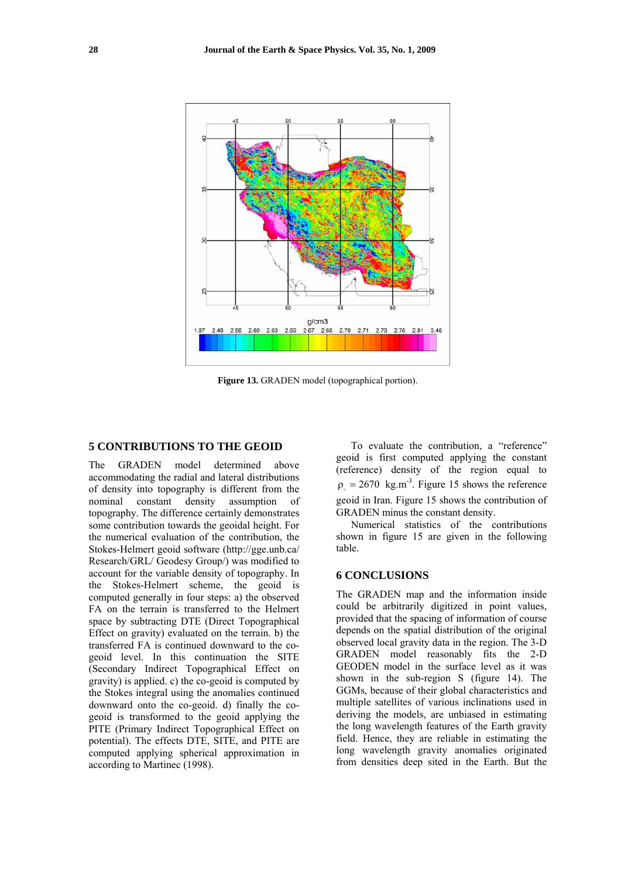

**Figure 13.** GRADEN model (topographical portion).

#### **5 CONTRIBUTIONS TO THE GEOID**

The GRADEN model determined above accommodating the radial and lateral distributions of density into topography is different from the nominal constant density assumption of topography. The difference certainly demonstrates some contribution towards the geoidal height. For the numerical evaluation of the contribution, the Stokes-Helmert geoid software (http://gge.unb.ca/ Research/GRL/ Geodesy Group/) was modified to account for the variable density of topography. In the Stokes-Helmert scheme, the geoid is computed generally in four steps: a) the observed FA on the terrain is transferred to the Helmert space by subtracting DTE (Direct Topographical Effect on gravity) evaluated on the terrain. b) the transferred FA is continued downward to the cogeoid level. In this continuation the SITE (Secondary Indirect Topographical Effect on gravity) is applied. c) the co-geoid is computed by the Stokes integral using the anomalies continued downward onto the co-geoid. d) finally the cogeoid is transformed to the geoid applying the PITE (Primary Indirect Topographical Effect on potential). The effects DTE, SITE, and PITE are computed applying spherical approximation in according to Martinec (1998).

To evaluate the contribution, a "reference" geoid is first computed applying the constant (reference) density of the region equal to  $\rho = 2670 \text{ kg.m}^{-3}$ . Figure 15 shows the reference geoid in Iran. Figure 15 shows the contribution of GRADEN minus the constant density.

Numerical statistics of the contributions shown in figure 15 are given in the following table.

### **6 CONCLUSIONS**

The GRADEN map and the information inside could be arbitrarily digitized in point values, provided that the spacing of information of course depends on the spatial distribution of the original observed local gravity data in the region. The 3-D GRADEN model reasonably fits the 2-D GEODEN model in the surface level as it was shown in the sub-region S (figure 14). The GGMs, because of their global characteristics and multiple satellites of various inclinations used in deriving the models, are unbiased in estimating the long wavelength features of the Earth gravity field. Hence, they are reliable in estimating the long wavelength gravity anomalies originated from densities deep sited in the Earth. But the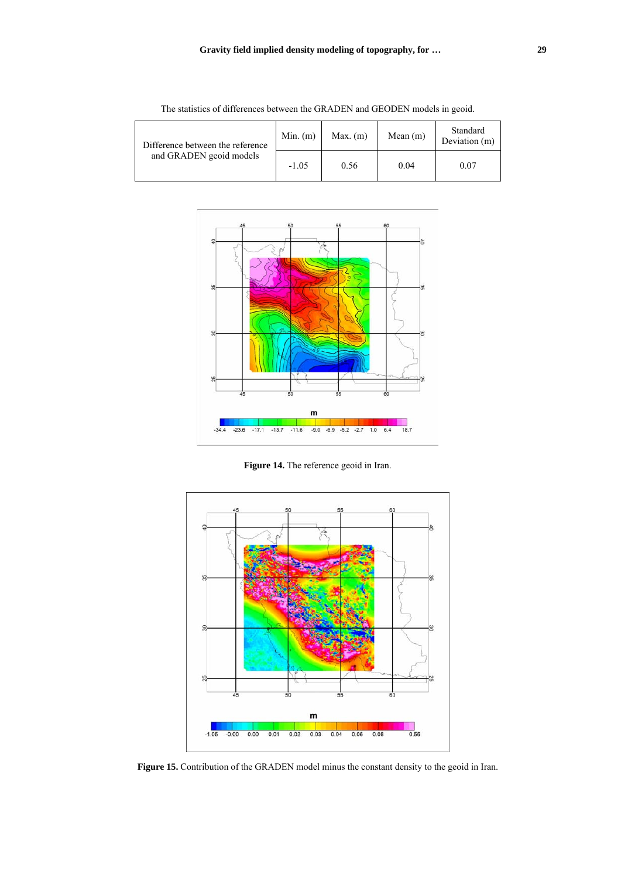| Difference between the reference<br>and GRADEN geoid models | $Min.$ (m) | $Max.$ (m) | Mean $(m)$ | Standard<br>Deviation (m) |
|-------------------------------------------------------------|------------|------------|------------|---------------------------|
|                                                             | $-1.05$    | 0.56       | 0.04       | 0.07                      |

The statistics of differences between the GRADEN and GEODEN models in geoid.



**Figure 14.** The reference geoid in Iran.



**Figure 15.** Contribution of the GRADEN model minus the constant density to the geoid in Iran.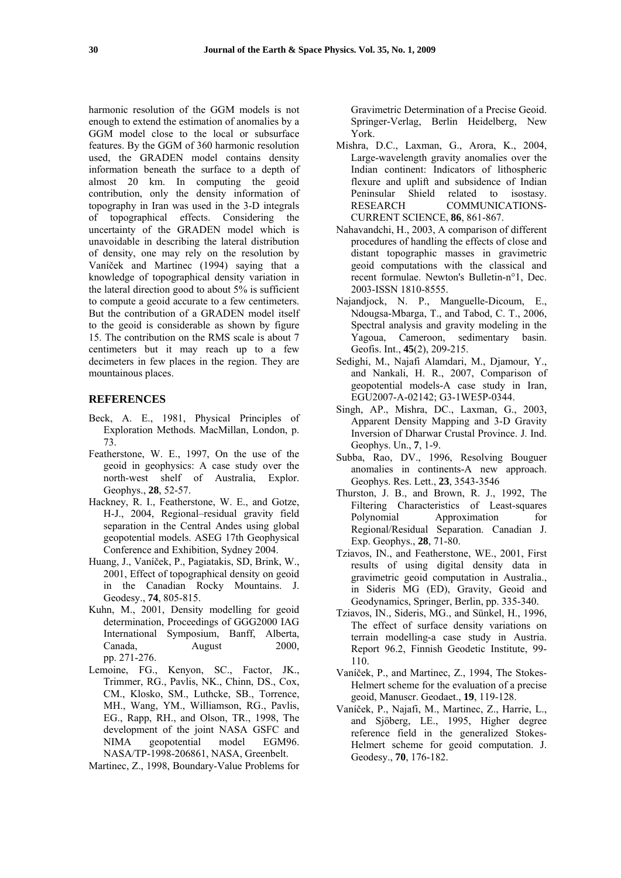harmonic resolution of the GGM models is not enough to extend the estimation of anomalies by a GGM model close to the local or subsurface features. By the GGM of 360 harmonic resolution used, the GRADEN model contains density information beneath the surface to a depth of almost 20 km. In computing the geoid contribution, only the density information of topography in Iran was used in the 3-D integrals of topographical effects. Considering the uncertainty of the GRADEN model which is unavoidable in describing the lateral distribution of density, one may rely on the resolution by Vaníček and Martinec (1994) saying that a knowledge of topographical density variation in the lateral direction good to about 5% is sufficient to compute a geoid accurate to a few centimeters. But the contribution of a GRADEN model itself to the geoid is considerable as shown by figure 15. The contribution on the RMS scale is about 7 centimeters but it may reach up to a few decimeters in few places in the region. They are mountainous places.

#### **REFERENCES**

- Beck, A. E., 1981, Physical Principles of Exploration Methods. MacMillan, London, p. 73.
- Featherstone, W. E., 1997, On the use of the geoid in geophysics: A case study over the north-west shelf of Australia, Explor. Geophys., **28**, 52-57.
- Hackney, R. I., Featherstone, W. E., and Gotze, H-J., 2004, Regional–residual gravity field separation in the Central Andes using global geopotential models. ASEG 17th Geophysical Conference and Exhibition, Sydney 2004.
- Huang, J., Vaníček, P., Pagiatakis, SD, Brink, W., 2001, Effect of topographical density on geoid in the Canadian Rocky Mountains. J. Geodesy., **74**, 805-815.
- Kuhn, M., 2001, Density modelling for geoid determination, Proceedings of GGG2000 IAG International Symposium, Banff, Alberta, Canada, August 2000, pp. 271-276.
- Lemoine, FG., Kenyon, SC., Factor, JK., Trimmer, RG., Pavlis, NK., Chinn, DS., Cox, CM., Klosko, SM., Luthcke, SB., Torrence, MH., Wang, YM., Williamson, RG., Pavlis, EG., Rapp, RH., and Olson, TR., 1998, The development of the joint NASA GSFC and NIMA geopotential model EGM96. NASA/TP-1998-206861, NASA, Greenbelt.

Martinec, Z., 1998, Boundary-Value Problems for

Gravimetric Determination of a Precise Geoid. Springer-Verlag, Berlin Heidelberg, New York.

- Mishra, D.C., Laxman, G., Arora, K., 2004, Large-wavelength gravity anomalies over the Indian continent: Indicators of lithospheric flexure and uplift and subsidence of Indian Peninsular Shield related to isostasy. RESEARCH COMMUNICATIONS-CURRENT SCIENCE, **86**, 861-867.
- Nahavandchi, H., 2003, A comparison of different procedures of handling the effects of close and distant topographic masses in gravimetric geoid computations with the classical and recent formulae. Newton's Bulletin-n°1, Dec. 2003-ISSN 1810-8555.
- Najandjock, N. P., Manguelle-Dicoum, E., Ndougsa-Mbarga, T., and Tabod, C. T., 2006, Spectral analysis and gravity modeling in the Yagoua, Cameroon, sedimentary basin. Geofis. Int., **45**(2), 209-215.
- Sedighi, M., Najafi Alamdari, M., Djamour, Y., and Nankali, H. R., 2007, Comparison of geopotential models-A case study in Iran, EGU2007-A-02142; G3-1WE5P-0344.
- Singh, AP., Mishra, DC., Laxman, G., 2003, Apparent Density Mapping and 3-D Gravity Inversion of Dharwar Crustal Province. J. Ind. Geophys. Un., **7**, 1-9.
- Subba, Rao, DV., 1996, Resolving Bouguer anomalies in continents-A new approach. Geophys. Res. Lett., **23**, 3543-3546
- Thurston, J. B., and Brown, R. J., 1992, The Filtering Characteristics of Least-squares Polynomial Approximation for Regional/Residual Separation. Canadian J. Exp. Geophys., **28**, 71-80.
- Tziavos, IN., and Featherstone, WE., 2001, First results of using digital density data in gravimetric geoid computation in Australia., in Sideris MG (ED), Gravity, Geoid and Geodynamics, Springer, Berlin, pp. 335-340.
- Tziavos, IN., Sideris, MG., and Sünkel, H., 1996, The effect of surface density variations on terrain modelling-a case study in Austria. Report 96.2, Finnish Geodetic Institute, 99- 110.
- Vaníček, P., and Martinec, Z., 1994, The Stokes-Helmert scheme for the evaluation of a precise geoid, Manuscr. Geodaet., **19**, 119-128.
- Vaníček, P., Najafi, M., Martinec, Z., Harrie, L., and Sjöberg, LE., 1995, Higher degree reference field in the generalized Stokes-Helmert scheme for geoid computation. J. Geodesy., **70**, 176-182.